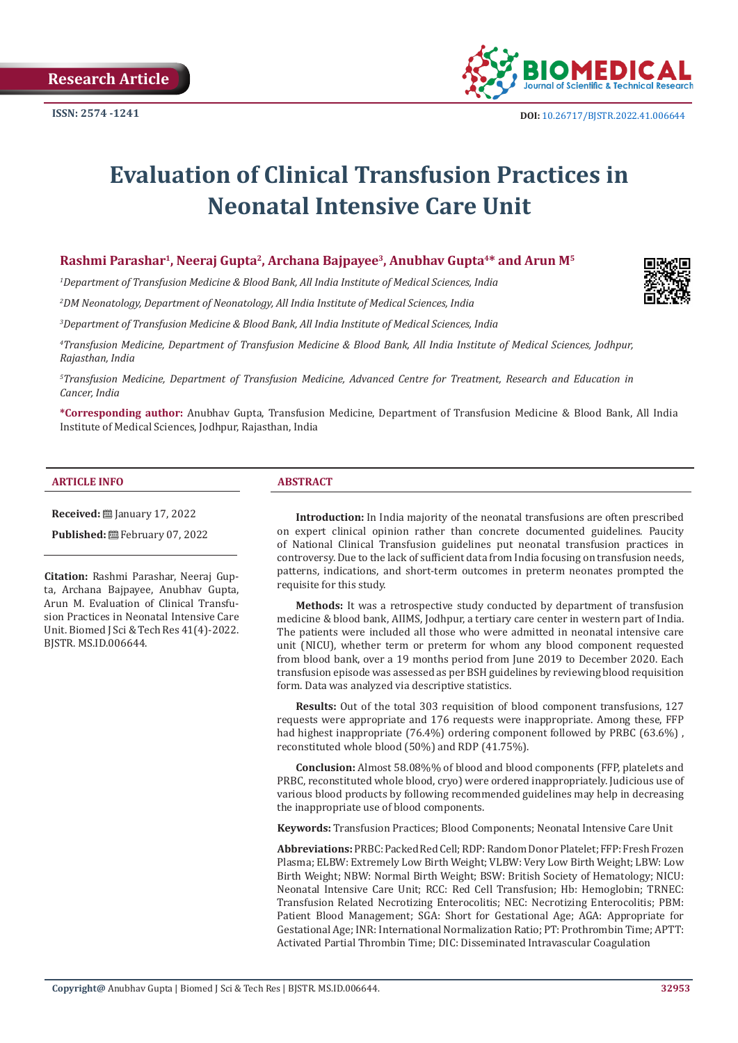**Research Article**



# **Evaluation of Clinical Transfusion Practices in Neonatal Intensive Care Unit**

# Rashmi Parashar<sup>1</sup>, Neeraj Gupta<sup>2</sup>, Archana Bajpayee<sup>3</sup>, Anubhav Gupta<sup>4\*</sup> and Arun M<sup>5</sup>

*1 Department of Transfusion Medicine & Blood Bank, All India Institute of Medical Sciences, India*

*2 DM Neonatology, Department of Neonatology, All India Institute of Medical Sciences, India*

*3 Department of Transfusion Medicine & Blood Bank, All India Institute of Medical Sciences, India*

*4 Transfusion Medicine, Department of Transfusion Medicine & Blood Bank, All India Institute of Medical Sciences, Jodhpur, Rajasthan, India*

*5 Transfusion Medicine, Department of Transfusion Medicine, Advanced Centre for Treatment, Research and Education in Cancer, India*

**\*Corresponding author:** Anubhav Gupta, Transfusion Medicine, Department of Transfusion Medicine & Blood Bank, All India Institute of Medical Sciences, Jodhpur, Rajasthan, India

#### **ARTICLE INFO ABSTRACT**

**Received:** ■ January 17, 2022

**Published:** February 07, 2022

**Citation:** Rashmi Parashar, Neeraj Gupta, Archana Bajpayee, Anubhav Gupta, Arun M. Evaluation of Clinical Transfusion Practices in Neonatal Intensive Care Unit. Biomed J Sci & Tech Res 41(4)-2022. BJSTR. MS.ID.006644.

**Introduction:** In India majority of the neonatal transfusions are often prescribed on expert clinical opinion rather than concrete documented guidelines. Paucity of National Clinical Transfusion guidelines put neonatal transfusion practices in controversy. Due to the lack of sufficient data from India focusing on transfusion needs, patterns, indications, and short-term outcomes in preterm neonates prompted the requisite for this study.

**Methods:** It was a retrospective study conducted by department of transfusion medicine & blood bank, AIIMS, Jodhpur, a tertiary care center in western part of India. The patients were included all those who were admitted in neonatal intensive care unit (NICU), whether term or preterm for whom any blood component requested from blood bank, over a 19 months period from June 2019 to December 2020. Each transfusion episode was assessed as per BSH guidelines by reviewing blood requisition form. Data was analyzed via descriptive statistics.

**Results:** Out of the total 303 requisition of blood component transfusions, 127 requests were appropriate and 176 requests were inappropriate. Among these, FFP had highest inappropriate (76.4%) ordering component followed by PRBC (63.6%), reconstituted whole blood (50%) and RDP (41.75%).

**Conclusion:** Almost 58.08%% of blood and blood components (FFP, platelets and PRBC, reconstituted whole blood, cryo) were ordered inappropriately. Judicious use of various blood products by following recommended guidelines may help in decreasing the inappropriate use of blood components.

**Keywords:** Transfusion Practices; Blood Components; Neonatal Intensive Care Unit

**Abbreviations:** PRBC: Packed Red Cell; RDP: Random Donor Platelet; FFP: Fresh Frozen Plasma; ELBW: Extremely Low Birth Weight; VLBW: Very Low Birth Weight; LBW: Low Birth Weight; NBW: Normal Birth Weight; BSW: British Society of Hematology; NICU: Neonatal Intensive Care Unit; RCC: Red Cell Transfusion; Hb: Hemoglobin; TRNEC: Transfusion Related Necrotizing Enterocolitis; NEC: Necrotizing Enterocolitis; PBM: Patient Blood Management; SGA: Short for Gestational Age; AGA: Appropriate for Gestational Age; INR: International Normalization Ratio; PT: Prothrombin Time; APTT: Activated Partial Thrombin Time; DIC: Disseminated Intravascular Coagulation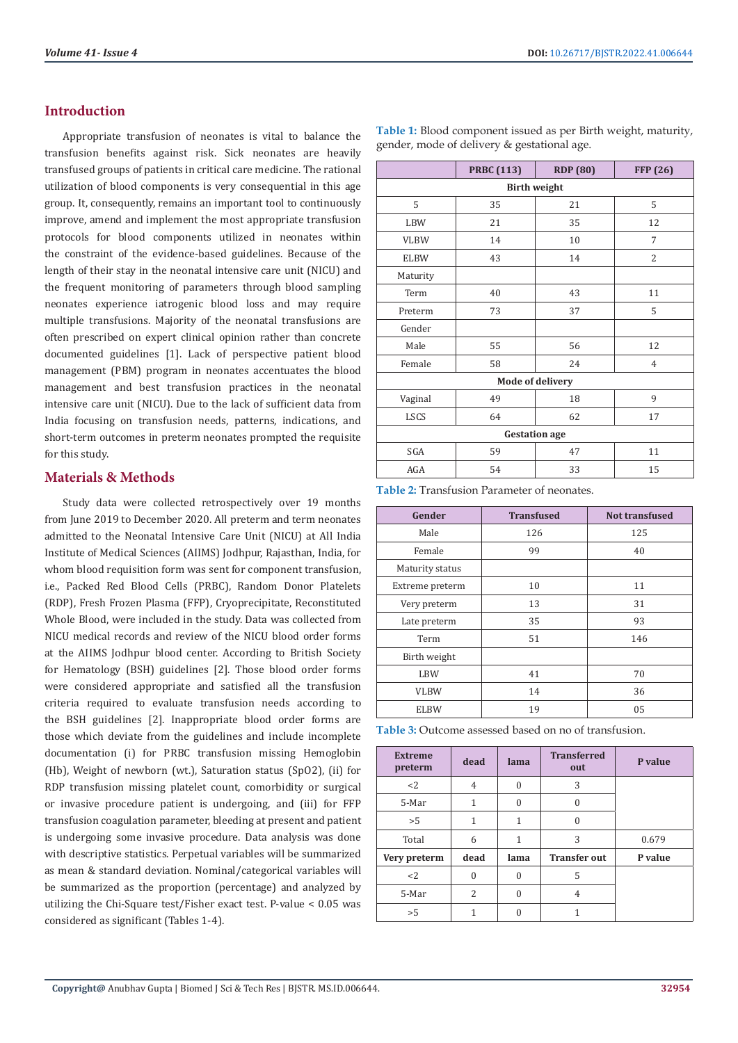# **Introduction**

Appropriate transfusion of neonates is vital to balance the transfusion benefits against risk. Sick neonates are heavily transfused groups of patients in critical care medicine. The rational utilization of blood components is very consequential in this age group. It, consequently, remains an important tool to continuously improve, amend and implement the most appropriate transfusion protocols for blood components utilized in neonates within the constraint of the evidence-based guidelines. Because of the length of their stay in the neonatal intensive care unit (NICU) and the frequent monitoring of parameters through blood sampling neonates experience iatrogenic blood loss and may require multiple transfusions. Majority of the neonatal transfusions are often prescribed on expert clinical opinion rather than concrete documented guidelines [1]. Lack of perspective patient blood management (PBM) program in neonates accentuates the blood management and best transfusion practices in the neonatal intensive care unit (NICU). Due to the lack of sufficient data from India focusing on transfusion needs, patterns, indications, and short-term outcomes in preterm neonates prompted the requisite for this study.

# **Materials & Methods**

Study data were collected retrospectively over 19 months from June 2019 to December 2020. All preterm and term neonates admitted to the Neonatal Intensive Care Unit (NICU) at All India Institute of Medical Sciences (AIIMS) Jodhpur, Rajasthan, India, for whom blood requisition form was sent for component transfusion, i.e., Packed Red Blood Cells (PRBC), Random Donor Platelets (RDP), Fresh Frozen Plasma (FFP), Cryoprecipitate, Reconstituted Whole Blood, were included in the study. Data was collected from NICU medical records and review of the NICU blood order forms at the AIIMS Jodhpur blood center. According to British Society for Hematology (BSH) guidelines [2]. Those blood order forms were considered appropriate and satisfied all the transfusion criteria required to evaluate transfusion needs according to the BSH guidelines [2]. Inappropriate blood order forms are those which deviate from the guidelines and include incomplete documentation (i) for PRBC transfusion missing Hemoglobin (Hb), Weight of newborn (wt.), Saturation status (SpO2), (ii) for RDP transfusion missing platelet count, comorbidity or surgical or invasive procedure patient is undergoing, and (iii) for FFP transfusion coagulation parameter, bleeding at present and patient is undergoing some invasive procedure. Data analysis was done with descriptive statistics. Perpetual variables will be summarized as mean & standard deviation. Nominal/categorical variables will be summarized as the proportion (percentage) and analyzed by utilizing the Chi-Square test/Fisher exact test. P-value < 0.05 was considered as significant (Tables 1-4).

**Table 1:** Blood component issued as per Birth weight, maturity, gender, mode of delivery & gestational age.

|                         | <b>PRBC</b> (113) | <b>RDP</b> (80) | <b>FFP</b> (26) |  |
|-------------------------|-------------------|-----------------|-----------------|--|
| <b>Birth weight</b>     |                   |                 |                 |  |
| 5                       | 35                | 21              | 5               |  |
| <b>LBW</b>              | 21                | 35              | 12              |  |
| <b>VLBW</b>             | 14                | 10              | 7               |  |
| <b>ELBW</b>             | 43                | 14              | $\overline{2}$  |  |
| Maturity                |                   |                 |                 |  |
| Term                    | 40                | 43              | 11              |  |
| Preterm                 | 73                | 37              | 5               |  |
| Gender                  |                   |                 |                 |  |
| Male                    | 55                | 56              | 12              |  |
| Female                  | 58                | 24              | $\overline{4}$  |  |
| <b>Mode of delivery</b> |                   |                 |                 |  |
| Vaginal                 | 49                | 18              | 9               |  |
| <b>LSCS</b>             | 64                | 62              | 17              |  |
| <b>Gestation</b> age    |                   |                 |                 |  |
| SGA                     | 59                | 47              | 11              |  |
| AGA                     | 54                | 33              | 15              |  |

**Table 2:** Transfusion Parameter of neonates.

| Gender          | <b>Transfused</b> | <b>Not transfused</b> |
|-----------------|-------------------|-----------------------|
| Male            | 126               | 125                   |
| Female          | 99                | 40                    |
| Maturity status |                   |                       |
| Extreme preterm | 10                | 11                    |
| Very preterm    | 13                | 31                    |
| Late preterm    | 35                | 93                    |
| Term            | 51                | 146                   |
| Birth weight    |                   |                       |
| <b>LBW</b>      | 41                | 70                    |
| <b>VLBW</b>     | 14                | 36                    |
| <b>ELBW</b>     | 19                | 05                    |

**Table 3:** Outcome assessed based on no of transfusion.

| <b>Extreme</b><br>preterm | dead     | lama     | <b>Transferred</b><br>out | P value |
|---------------------------|----------|----------|---------------------------|---------|
| $<$ 2                     | 4        | $\Omega$ | 3                         |         |
| 5-Mar                     | 1        | $\Omega$ | $\Omega$                  |         |
| >5                        | 1        | 1        | U                         |         |
| Total                     | 6        | 1        | 3                         | 0.679   |
| Very preterm              | dead     | lama     | <b>Transfer out</b>       | P value |
| $<$ 2                     | $\Omega$ | $\Omega$ | 5                         |         |
| 5-Mar                     | 2        | $\Omega$ | 4                         |         |
| >5                        |          |          |                           |         |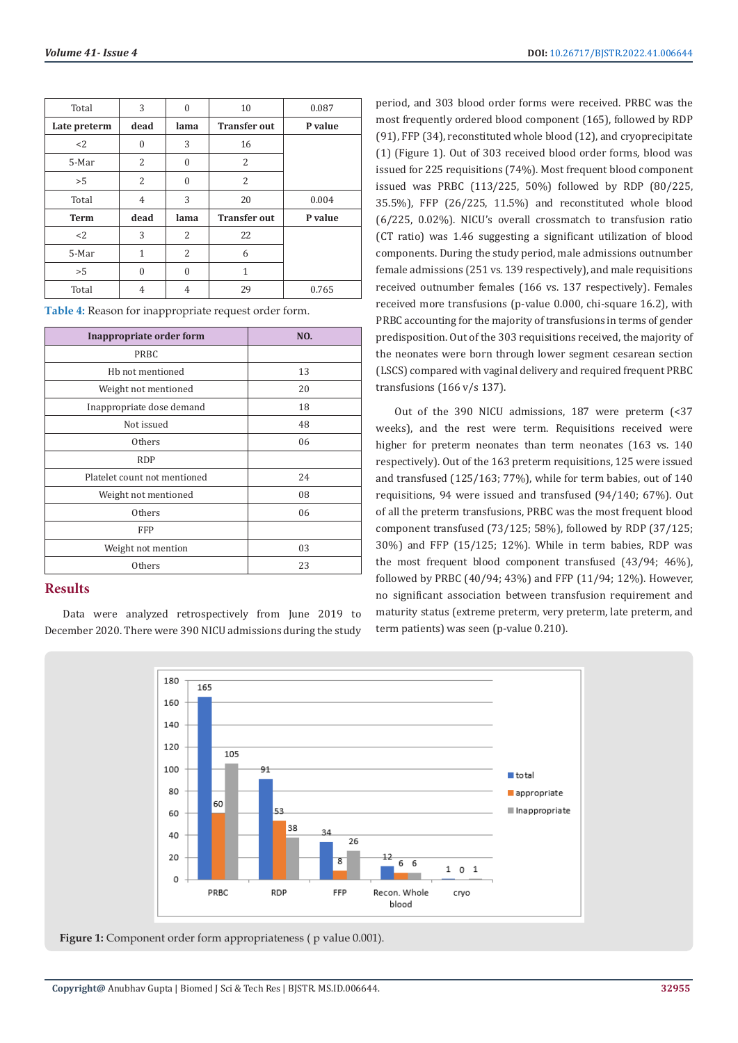| Total        | 3              | $\theta$         | 10                  | 0.087   |
|--------------|----------------|------------------|---------------------|---------|
| Late preterm | dead           | lama             | <b>Transfer out</b> | P value |
| <2           | $\theta$       | 3                | 16                  |         |
| 5-Mar        | 2              | $\theta$         | 2                   |         |
| >5           | 2              | $\boldsymbol{0}$ | 2                   |         |
| Total        | $\overline{4}$ | 3                | 20                  | 0.004   |
| <b>Term</b>  | dead           | lama             | <b>Transfer out</b> | P value |
| $<$ 2        | 3              | 2                | 22                  |         |
| 5-Mar        | $\mathbf{1}$   | 2                | 6                   |         |
| >5           | $\theta$       | $\theta$         | 1                   |         |
| Total        | 4              | 4                | 29                  | 0.765   |

|  |  | Table 4: Reason for inappropriate request order form. |
|--|--|-------------------------------------------------------|
|--|--|-------------------------------------------------------|

| Inappropriate order form     | NO. |
|------------------------------|-----|
| PRBC                         |     |
| Hb not mentioned             | 13  |
| Weight not mentioned         | 20  |
| Inappropriate dose demand    | 18  |
| Not issued                   | 48  |
| Others                       | 06  |
| <b>RDP</b>                   |     |
| Platelet count not mentioned | 24  |
| Weight not mentioned         | 08  |
| Others                       | 06  |
| <b>FFP</b>                   |     |
| Weight not mention           | 03  |
| Others                       | 23  |

# **Results**

Data were analyzed retrospectively from June 2019 to December 2020. There were 390 NICU admissions during the study period, and 303 blood order forms were received. PRBC was the most frequently ordered blood component (165), followed by RDP (91), FFP (34), reconstituted whole blood (12), and cryoprecipitate (1) (Figure 1). Out of 303 received blood order forms, blood was issued for 225 requisitions (74%). Most frequent blood component issued was PRBC (113/225, 50%) followed by RDP (80/225, 35.5%), FFP (26/225, 11.5%) and reconstituted whole blood (6/225, 0.02%). NICU's overall crossmatch to transfusion ratio (CT ratio) was 1.46 suggesting a significant utilization of blood components. During the study period, male admissions outnumber female admissions (251 vs. 139 respectively), and male requisitions received outnumber females (166 vs. 137 respectively). Females received more transfusions (p-value 0.000, chi-square 16.2), with PRBC accounting for the majority of transfusions in terms of gender predisposition. Out of the 303 requisitions received, the majority of the neonates were born through lower segment cesarean section (LSCS) compared with vaginal delivery and required frequent PRBC transfusions (166 v/s 137).

Out of the 390 NICU admissions, 187 were preterm (<37 weeks), and the rest were term. Requisitions received were higher for preterm neonates than term neonates (163 vs. 140 respectively). Out of the 163 preterm requisitions, 125 were issued and transfused (125/163; 77%), while for term babies, out of 140 requisitions, 94 were issued and transfused (94/140; 67%). Out of all the preterm transfusions, PRBC was the most frequent blood component transfused (73/125; 58%), followed by RDP (37/125; 30%) and FFP (15/125; 12%). While in term babies, RDP was the most frequent blood component transfused (43/94; 46%), followed by PRBC (40/94; 43%) and FFP (11/94; 12%). However, no significant association between transfusion requirement and maturity status (extreme preterm, very preterm, late preterm, and term patients) was seen (p-value 0.210).



**Figure 1:** Component order form appropriateness (p value 0.001).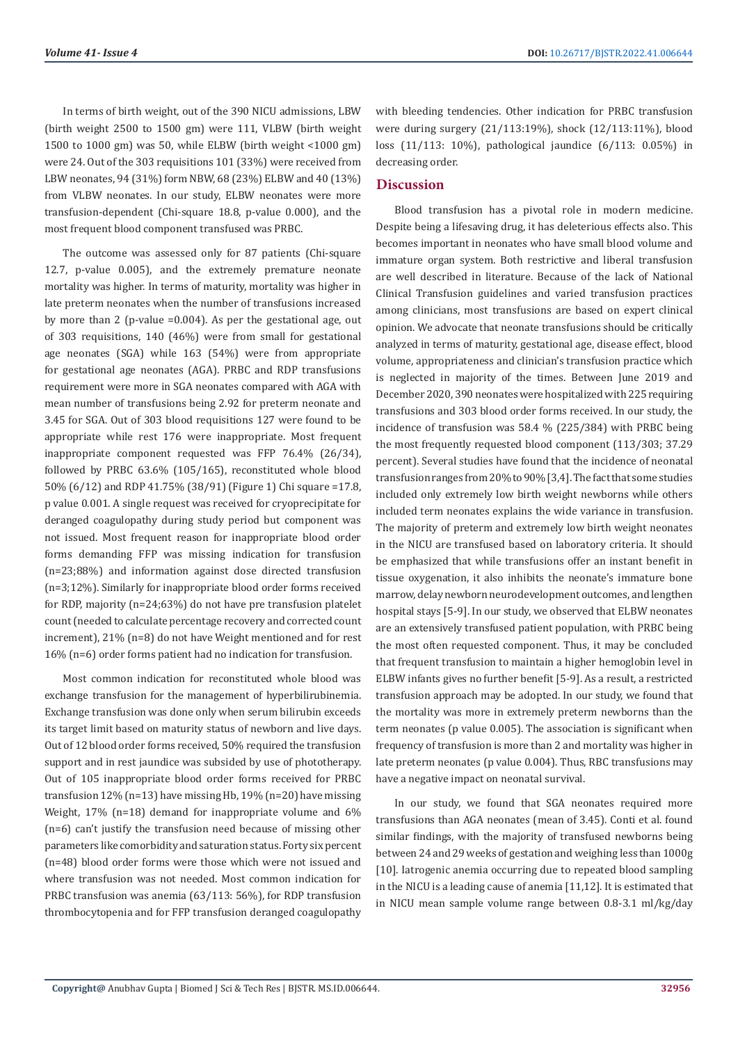In terms of birth weight, out of the 390 NICU admissions, LBW (birth weight 2500 to 1500 gm) were 111, VLBW (birth weight 1500 to 1000 gm) was 50, while ELBW (birth weight <1000 gm) were 24. Out of the 303 requisitions 101 (33%) were received from LBW neonates, 94 (31%) form NBW, 68 (23%) ELBW and 40 (13%) from VLBW neonates. In our study, ELBW neonates were more transfusion-dependent (Chi-square 18.8, p-value 0.000), and the most frequent blood component transfused was PRBC.

The outcome was assessed only for 87 patients (Chi-square 12.7, p-value 0.005), and the extremely premature neonate mortality was higher. In terms of maturity, mortality was higher in late preterm neonates when the number of transfusions increased by more than 2 (p-value =0.004). As per the gestational age, out of 303 requisitions, 140 (46%) were from small for gestational age neonates (SGA) while 163 (54%) were from appropriate for gestational age neonates (AGA). PRBC and RDP transfusions requirement were more in SGA neonates compared with AGA with mean number of transfusions being 2.92 for preterm neonate and 3.45 for SGA. Out of 303 blood requisitions 127 were found to be appropriate while rest 176 were inappropriate. Most frequent inappropriate component requested was FFP 76.4% (26/34), followed by PRBC 63.6% (105/165), reconstituted whole blood 50% (6/12) and RDP 41.75% (38/91) (Figure 1) Chi square =17.8, p value 0.001. A single request was received for cryoprecipitate for deranged coagulopathy during study period but component was not issued. Most frequent reason for inappropriate blood order forms demanding FFP was missing indication for transfusion (n=23;88%) and information against dose directed transfusion (n=3;12%). Similarly for inappropriate blood order forms received for RDP, majority (n=24;63%) do not have pre transfusion platelet count (needed to calculate percentage recovery and corrected count increment), 21% (n=8) do not have Weight mentioned and for rest 16% (n=6) order forms patient had no indication for transfusion.

Most common indication for reconstituted whole blood was exchange transfusion for the management of hyperbilirubinemia. Exchange transfusion was done only when serum bilirubin exceeds its target limit based on maturity status of newborn and live days. Out of 12 blood order forms received, 50% required the transfusion support and in rest jaundice was subsided by use of phototherapy. Out of 105 inappropriate blood order forms received for PRBC transfusion 12% (n=13) have missing Hb, 19% (n=20) have missing Weight, 17% (n=18) demand for inappropriate volume and 6% (n=6) can't justify the transfusion need because of missing other parameters like comorbidity and saturation status. Forty six percent (n=48) blood order forms were those which were not issued and where transfusion was not needed. Most common indication for PRBC transfusion was anemia (63/113: 56%), for RDP transfusion thrombocytopenia and for FFP transfusion deranged coagulopathy

with bleeding tendencies. Other indication for PRBC transfusion were during surgery (21/113:19%), shock (12/113:11%), blood loss (11/113: 10%), pathological jaundice (6/113: 0.05%) in decreasing order.

### **Discussion**

Blood transfusion has a pivotal role in modern medicine. Despite being a lifesaving drug, it has deleterious effects also. This becomes important in neonates who have small blood volume and immature organ system. Both restrictive and liberal transfusion are well described in literature. Because of the lack of National Clinical Transfusion guidelines and varied transfusion practices among clinicians, most transfusions are based on expert clinical opinion. We advocate that neonate transfusions should be critically analyzed in terms of maturity, gestational age, disease effect, blood volume, appropriateness and clinician's transfusion practice which is neglected in majority of the times. Between June 2019 and December 2020, 390 neonates were hospitalized with 225 requiring transfusions and 303 blood order forms received. In our study, the incidence of transfusion was 58.4 % (225/384) with PRBC being the most frequently requested blood component (113/303; 37.29 percent). Several studies have found that the incidence of neonatal transfusion ranges from 20% to 90% [3,4]. The fact that some studies included only extremely low birth weight newborns while others included term neonates explains the wide variance in transfusion. The majority of preterm and extremely low birth weight neonates in the NICU are transfused based on laboratory criteria. It should be emphasized that while transfusions offer an instant benefit in tissue oxygenation, it also inhibits the neonate's immature bone marrow, delay newborn neurodevelopment outcomes, and lengthen hospital stays [5-9]. In our study, we observed that ELBW neonates are an extensively transfused patient population, with PRBC being the most often requested component. Thus, it may be concluded that frequent transfusion to maintain a higher hemoglobin level in ELBW infants gives no further benefit [5-9]. As a result, a restricted transfusion approach may be adopted. In our study, we found that the mortality was more in extremely preterm newborns than the term neonates (p value 0.005). The association is significant when frequency of transfusion is more than 2 and mortality was higher in late preterm neonates (p value 0.004). Thus, RBC transfusions may have a negative impact on neonatal survival.

In our study, we found that SGA neonates required more transfusions than AGA neonates (mean of 3.45). Conti et al. found similar findings, with the majority of transfused newborns being between 24 and 29 weeks of gestation and weighing less than 1000g [10]. Iatrogenic anemia occurring due to repeated blood sampling in the NICU is a leading cause of anemia [11,12]. It is estimated that in NICU mean sample volume range between 0.8-3.1 ml/kg/day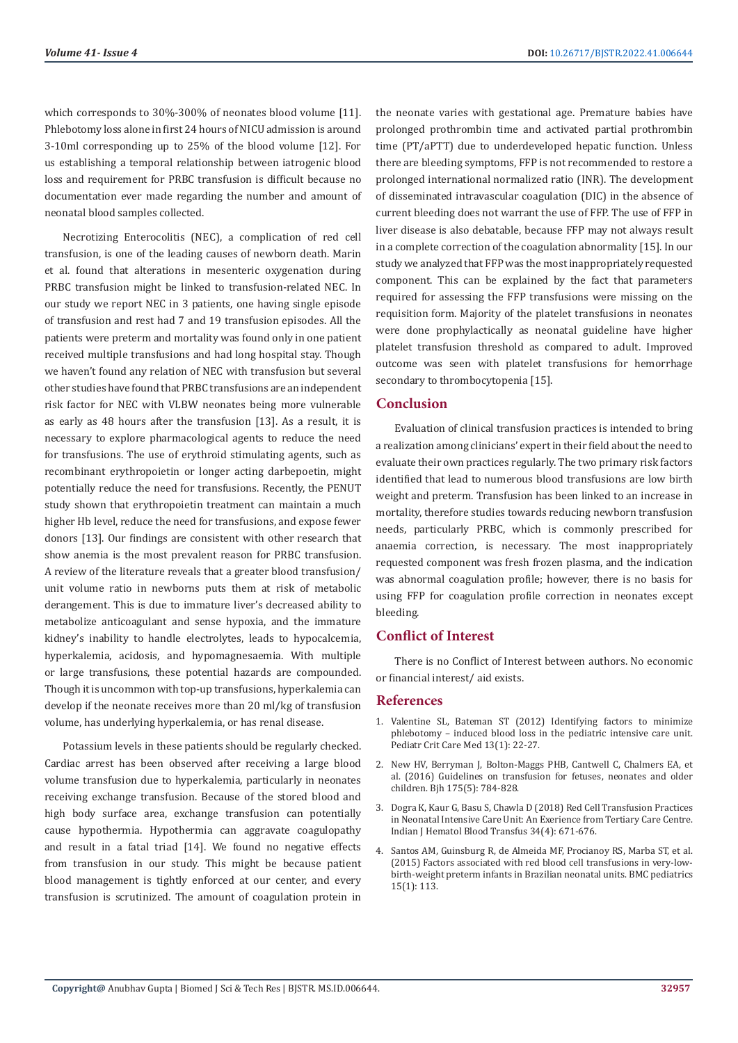which corresponds to 30%-300% of neonates blood volume [11]. Phlebotomy loss alone in first 24 hours of NICU admission is around 3-10ml corresponding up to 25% of the blood volume [12]. For us establishing a temporal relationship between iatrogenic blood loss and requirement for PRBC transfusion is difficult because no documentation ever made regarding the number and amount of neonatal blood samples collected.

Necrotizing Enterocolitis (NEC), a complication of red cell transfusion, is one of the leading causes of newborn death. Marin et al. found that alterations in mesenteric oxygenation during PRBC transfusion might be linked to transfusion-related NEC. In our study we report NEC in 3 patients, one having single episode of transfusion and rest had 7 and 19 transfusion episodes. All the patients were preterm and mortality was found only in one patient received multiple transfusions and had long hospital stay. Though we haven't found any relation of NEC with transfusion but several other studies have found that PRBC transfusions are an independent risk factor for NEC with VLBW neonates being more vulnerable as early as 48 hours after the transfusion [13]. As a result, it is necessary to explore pharmacological agents to reduce the need for transfusions. The use of erythroid stimulating agents, such as recombinant erythropoietin or longer acting darbepoetin, might potentially reduce the need for transfusions. Recently, the PENUT study shown that erythropoietin treatment can maintain a much higher Hb level, reduce the need for transfusions, and expose fewer donors [13]. Our findings are consistent with other research that show anemia is the most prevalent reason for PRBC transfusion. A review of the literature reveals that a greater blood transfusion/ unit volume ratio in newborns puts them at risk of metabolic derangement. This is due to immature liver's decreased ability to metabolize anticoagulant and sense hypoxia, and the immature kidney's inability to handle electrolytes, leads to hypocalcemia, hyperkalemia, acidosis, and hypomagnesaemia. With multiple or large transfusions, these potential hazards are compounded. Though it is uncommon with top-up transfusions, hyperkalemia can develop if the neonate receives more than 20 ml/kg of transfusion volume, has underlying hyperkalemia, or has renal disease.

Potassium levels in these patients should be regularly checked. Cardiac arrest has been observed after receiving a large blood volume transfusion due to hyperkalemia, particularly in neonates receiving exchange transfusion. Because of the stored blood and high body surface area, exchange transfusion can potentially cause hypothermia. Hypothermia can aggravate coagulopathy and result in a fatal triad [14]. We found no negative effects from transfusion in our study. This might be because patient blood management is tightly enforced at our center, and every transfusion is scrutinized. The amount of coagulation protein in the neonate varies with gestational age. Premature babies have prolonged prothrombin time and activated partial prothrombin time (PT/aPTT) due to underdeveloped hepatic function. Unless there are bleeding symptoms, FFP is not recommended to restore a prolonged international normalized ratio (INR). The development of disseminated intravascular coagulation (DIC) in the absence of current bleeding does not warrant the use of FFP. The use of FFP in liver disease is also debatable, because FFP may not always result in a complete correction of the coagulation abnormality [15]. In our study we analyzed that FFP was the most inappropriately requested component. This can be explained by the fact that parameters required for assessing the FFP transfusions were missing on the requisition form. Majority of the platelet transfusions in neonates were done prophylactically as neonatal guideline have higher platelet transfusion threshold as compared to adult. Improved outcome was seen with platelet transfusions for hemorrhage secondary to thrombocytopenia [15].

## **Conclusion**

Evaluation of clinical transfusion practices is intended to bring a realization among clinicians' expert in their field about the need to evaluate their own practices regularly. The two primary risk factors identified that lead to numerous blood transfusions are low birth weight and preterm. Transfusion has been linked to an increase in mortality, therefore studies towards reducing newborn transfusion needs, particularly PRBC, which is commonly prescribed for anaemia correction, is necessary. The most inappropriately requested component was fresh frozen plasma, and the indication was abnormal coagulation profile; however, there is no basis for using FFP for coagulation profile correction in neonates except bleeding.

# **Conflict of Interest**

There is no Conflict of Interest between authors. No economic or financial interest/ aid exists.

### **References**

- 1. [Valentine SL, Bateman ST \(2012\) Identifying factors to minimize](https://pubmed.ncbi.nlm.nih.gov/21499175/) [phlebotomy – induced blood loss in the pediatric intensive care unit.](https://pubmed.ncbi.nlm.nih.gov/21499175/) [Pediatr Crit Care Med 13\(1\): 22-27.](https://pubmed.ncbi.nlm.nih.gov/21499175/)
- 2. [New HV, Berryman J, Bolton-Maggs PHB, Cantwell C, Chalmers EA, et](https://pubmed.ncbi.nlm.nih.gov/27861734/) [al. \(2016\) Guidelines on transfusion for fetuses, neonates and older](https://pubmed.ncbi.nlm.nih.gov/27861734/) [children. Bjh 175\(5\): 784-828.](https://pubmed.ncbi.nlm.nih.gov/27861734/)
- 3. [Dogra K, Kaur G, Basu S, Chawla D \(2018\) Red Cell Transfusion Practices](https://pubmed.ncbi.nlm.nih.gov/30369739/) [in Neonatal Intensive Care Unit: An Exerience from Tertiary Care Centre.](https://pubmed.ncbi.nlm.nih.gov/30369739/) [Indian J Hematol Blood Transfus 34\(4\): 671-676.](https://pubmed.ncbi.nlm.nih.gov/30369739/)
- 4. [Santos AM, Guinsburg R, de Almeida MF, Procianoy RS, Marba ST, et al.](https://pubmed.ncbi.nlm.nih.gov/26341125/) [\(2015\) Factors associated with red blood cell transfusions in very-low](https://pubmed.ncbi.nlm.nih.gov/26341125/)[birth-weight preterm infants in Brazilian neonatal units. BMC pediatrics](https://pubmed.ncbi.nlm.nih.gov/26341125/) [15\(1\): 113.](https://pubmed.ncbi.nlm.nih.gov/26341125/)